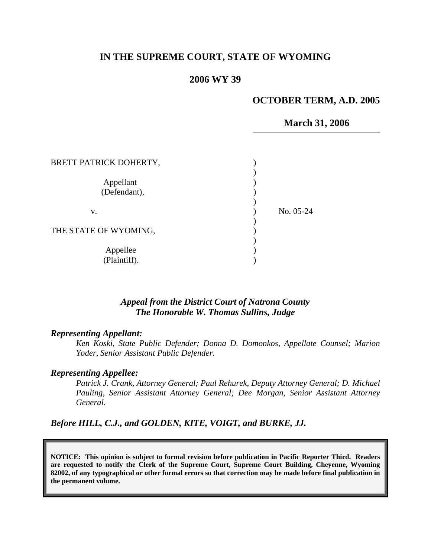## **IN THE SUPREME COURT, STATE OF WYOMING**

### **2006 WY 39**

### **OCTOBER TERM, A.D. 2005**

**March 31, 2006** 

| BRETT PATRICK DOHERTY,    |           |
|---------------------------|-----------|
| Appellant<br>(Defendant), |           |
| v.                        | No. 05-24 |
| THE STATE OF WYOMING,     |           |
| Appellee<br>(Plaintiff).  |           |

### *Appeal from the District Court of Natrona County The Honorable W. Thomas Sullins, Judge*

#### *Representing Appellant:*

*Ken Koski, State Public Defender; Donna D. Domonkos, Appellate Counsel; Marion Yoder, Senior Assistant Public Defender.* 

### *Representing Appellee:*

*Patrick J. Crank, Attorney General; Paul Rehurek, Deputy Attorney General; D. Michael Pauling, Senior Assistant Attorney General; Dee Morgan, Senior Assistant Attorney General.* 

*Before HILL, C.J., and GOLDEN, KITE, VOIGT, and BURKE, JJ.* 

**NOTICE: This opinion is subject to formal revision before publication in Pacific Reporter Third. Readers are requested to notify the Clerk of the Supreme Court, Supreme Court Building, Cheyenne, Wyoming 82002, of any typographical or other formal errors so that correction may be made before final publication in the permanent volume.**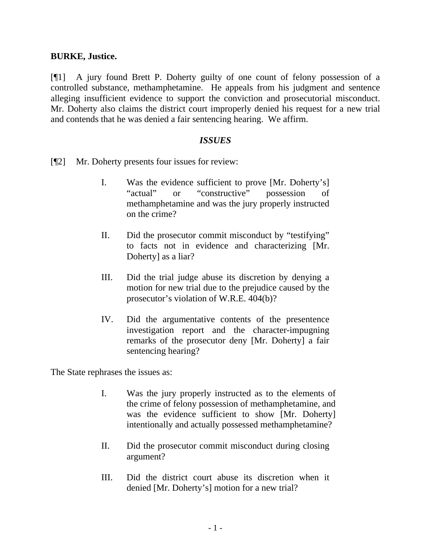## **BURKE, Justice.**

[¶1] A jury found Brett P. Doherty guilty of one count of felony possession of a controlled substance, methamphetamine. He appeals from his judgment and sentence alleging insufficient evidence to support the conviction and prosecutorial misconduct. Mr. Doherty also claims the district court improperly denied his request for a new trial and contends that he was denied a fair sentencing hearing. We affirm.

### *ISSUES*

- [¶2] Mr. Doherty presents four issues for review:
	- I. Was the evidence sufficient to prove [Mr. Doherty's] "actual" or "constructive" possession of methamphetamine and was the jury properly instructed on the crime?
	- II. Did the prosecutor commit misconduct by "testifying" to facts not in evidence and characterizing [Mr. Doherty] as a liar?
	- III. Did the trial judge abuse its discretion by denying a motion for new trial due to the prejudice caused by the prosecutor's violation of W.R.E. 404(b)?
	- IV. Did the argumentative contents of the presentence investigation report and the character-impugning remarks of the prosecutor deny [Mr. Doherty] a fair sentencing hearing?

The State rephrases the issues as:

- I. Was the jury properly instructed as to the elements of the crime of felony possession of methamphetamine, and was the evidence sufficient to show [Mr. Doherty] intentionally and actually possessed methamphetamine?
- II. Did the prosecutor commit misconduct during closing argument?
- III. Did the district court abuse its discretion when it denied [Mr. Doherty's] motion for a new trial?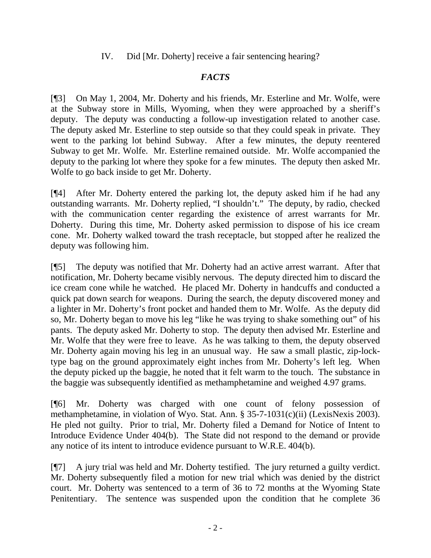IV. Did [Mr. Doherty] receive a fair sentencing hearing?

# *FACTS*

[¶3] On May 1, 2004, Mr. Doherty and his friends, Mr. Esterline and Mr. Wolfe, were at the Subway store in Mills, Wyoming, when they were approached by a sheriff's deputy. The deputy was conducting a follow-up investigation related to another case. The deputy asked Mr. Esterline to step outside so that they could speak in private. They went to the parking lot behind Subway. After a few minutes, the deputy reentered Subway to get Mr. Wolfe. Mr. Esterline remained outside. Mr. Wolfe accompanied the deputy to the parking lot where they spoke for a few minutes. The deputy then asked Mr. Wolfe to go back inside to get Mr. Doherty.

[¶4] After Mr. Doherty entered the parking lot, the deputy asked him if he had any outstanding warrants. Mr. Doherty replied, "I shouldn't." The deputy, by radio, checked with the communication center regarding the existence of arrest warrants for Mr. Doherty. During this time, Mr. Doherty asked permission to dispose of his ice cream cone. Mr. Doherty walked toward the trash receptacle, but stopped after he realized the deputy was following him.

[¶5] The deputy was notified that Mr. Doherty had an active arrest warrant. After that notification, Mr. Doherty became visibly nervous. The deputy directed him to discard the ice cream cone while he watched. He placed Mr. Doherty in handcuffs and conducted a quick pat down search for weapons. During the search, the deputy discovered money and a lighter in Mr. Doherty's front pocket and handed them to Mr. Wolfe. As the deputy did so, Mr. Doherty began to move his leg "like he was trying to shake something out" of his pants. The deputy asked Mr. Doherty to stop. The deputy then advised Mr. Esterline and Mr. Wolfe that they were free to leave. As he was talking to them, the deputy observed Mr. Doherty again moving his leg in an unusual way. He saw a small plastic, zip-locktype bag on the ground approximately eight inches from Mr. Doherty's left leg. When the deputy picked up the baggie, he noted that it felt warm to the touch. The substance in the baggie was subsequently identified as methamphetamine and weighed 4.97 grams.

[¶6] Mr. Doherty was charged with one count of felony possession of methamphetamine, in violation of Wyo. Stat. Ann. § 35-7-1031(c)(ii) (LexisNexis 2003). He pled not guilty. Prior to trial, Mr. Doherty filed a Demand for Notice of Intent to Introduce Evidence Under 404(b). The State did not respond to the demand or provide any notice of its intent to introduce evidence pursuant to W.R.E. 404(b).

[¶7] A jury trial was held and Mr. Doherty testified. The jury returned a guilty verdict. Mr. Doherty subsequently filed a motion for new trial which was denied by the district court. Mr. Doherty was sentenced to a term of 36 to 72 months at the Wyoming State Penitentiary. The sentence was suspended upon the condition that he complete 36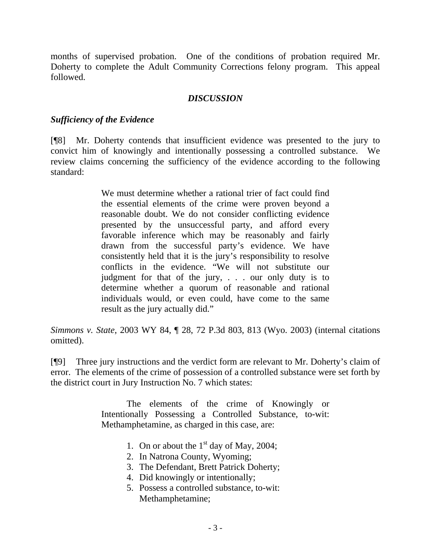months of supervised probation. One of the conditions of probation required Mr. Doherty to complete the Adult Community Corrections felony program. This appeal followed.

## *DISCUSSION*

## *Sufficiency of the Evidence*

[¶8] Mr. Doherty contends that insufficient evidence was presented to the jury to convict him of knowingly and intentionally possessing a controlled substance. We review claims concerning the sufficiency of the evidence according to the following standard:

> We must determine whether a rational trier of fact could find the essential elements of the crime were proven beyond a reasonable doubt. We do not consider conflicting evidence presented by the unsuccessful party, and afford every favorable inference which may be reasonably and fairly drawn from the successful party's evidence. We have consistently held that it is the jury's responsibility to resolve conflicts in the evidence. "We will not substitute our judgment for that of the jury, . . . our only duty is to determine whether a quorum of reasonable and rational individuals would, or even could, have come to the same result as the jury actually did."

*Simmons v. State*[, 2003 WY 84, ¶ 28, 72 P.3d 803, 813 \(Wyo. 2003\)](http://www.lexis.com/research/xlink?app=00075&view=full&searchtype=get&search=2003+WY+84%2C+P28) (internal citations omitted).

[¶9] Three jury instructions and the verdict form are relevant to Mr. Doherty's claim of error. The elements of the crime of possession of a controlled substance were set forth by the district court in Jury Instruction No. 7 which states:

> The elements of the crime of Knowingly or Intentionally Possessing a Controlled Substance, to-wit: Methamphetamine, as charged in this case, are:

- 1. On or about the  $1<sup>st</sup>$  day of May, 2004;
- 2. In Natrona County, Wyoming;
- 3. The Defendant, Brett Patrick Doherty;
- 4. Did knowingly or intentionally;
- 5. Possess a controlled substance, to-wit: Methamphetamine;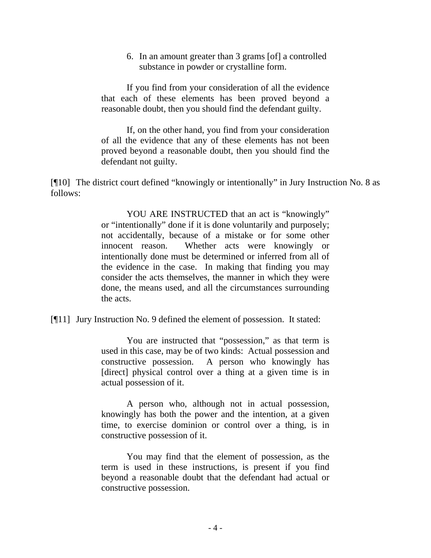6. In an amount greater than 3 grams [of] a controlled substance in powder or crystalline form.

If you find from your consideration of all the evidence that each of these elements has been proved beyond a reasonable doubt, then you should find the defendant guilty.

If, on the other hand, you find from your consideration of all the evidence that any of these elements has not been proved beyond a reasonable doubt, then you should find the defendant not guilty.

[¶10] The district court defined "knowingly or intentionally" in Jury Instruction No. 8 as follows:

> YOU ARE INSTRUCTED that an act is "knowingly" or "intentionally" done if it is done voluntarily and purposely; not accidentally, because of a mistake or for some other innocent reason. Whether acts were knowingly or intentionally done must be determined or inferred from all of the evidence in the case. In making that finding you may consider the acts themselves, the manner in which they were done, the means used, and all the circumstances surrounding the acts.

[¶11] Jury Instruction No. 9 defined the element of possession. It stated:

You are instructed that "possession," as that term is used in this case, may be of two kinds: Actual possession and constructive possession. A person who knowingly has [direct] physical control over a thing at a given time is in actual possession of it.

A person who, although not in actual possession, knowingly has both the power and the intention, at a given time, to exercise dominion or control over a thing, is in constructive possession of it.

You may find that the element of possession, as the term is used in these instructions, is present if you find beyond a reasonable doubt that the defendant had actual or constructive possession.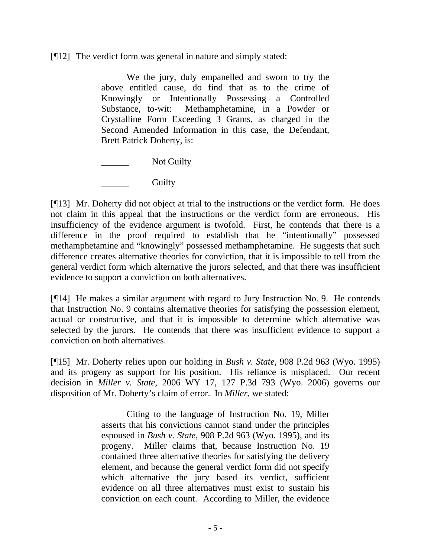[¶12] The verdict form was general in nature and simply stated:

 We the jury, duly empanelled and sworn to try the above entitled cause, do find that as to the crime of Knowingly or Intentionally Possessing a Controlled Substance, to-wit: Methamphetamine, in a Powder or Crystalline Form Exceeding 3 Grams, as charged in the Second Amended Information in this case, the Defendant, Brett Patrick Doherty, is:

Not Guilty

Guilty

[¶13] Mr. Doherty did not object at trial to the instructions or the verdict form. He does not claim in this appeal that the instructions or the verdict form are erroneous. His insufficiency of the evidence argument is twofold. First, he contends that there is a difference in the proof required to establish that he "intentionally" possessed methamphetamine and "knowingly" possessed methamphetamine. He suggests that such difference creates alternative theories for conviction, that it is impossible to tell from the general verdict form which alternative the jurors selected, and that there was insufficient evidence to support a conviction on both alternatives.

[¶14] He makes a similar argument with regard to Jury Instruction No. 9. He contends that Instruction No. 9 contains alternative theories for satisfying the possession element, actual or constructive, and that it is impossible to determine which alternative was selected by the jurors. He contends that there was insufficient evidence to support a conviction on both alternatives.

[¶15] Mr. Doherty relies upon our holding in *Bush v. State,* 908 P.2d 963 (Wyo. 1995) and its progeny as support for his position. His reliance is misplaced. Our recent decision in *Miller v. State*, 2006 WY 17, 127 P.3d 793 (Wyo. 2006) governs our disposition of Mr. Doherty's claim of error. In *Miller,* we stated:

> Citing to the language of Instruction No. 19, Miller asserts that his convictions cannot stand under the principles espoused in *Bush v. State*, 908 P.2d 963 (Wyo. 1995), and its progeny. Miller claims that, because Instruction No. 19 contained three alternative theories for satisfying the delivery element, and because the general verdict form did not specify which alternative the jury based its verdict, sufficient evidence on all three alternatives must exist to sustain his conviction on each count. According to Miller, the evidence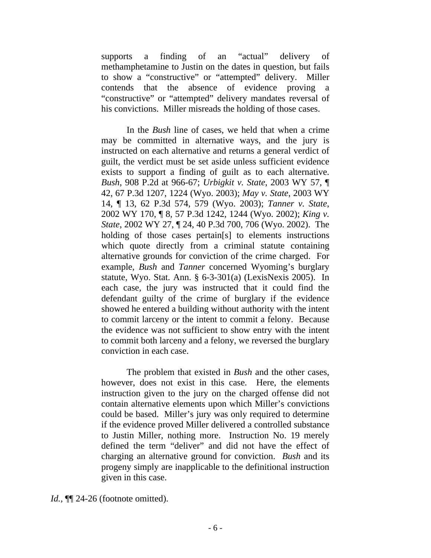supports a finding of an "actual" delivery of methamphetamine to Justin on the dates in question, but fails to show a "constructive" or "attempted" delivery. Miller contends that the absence of evidence proving a "constructive" or "attempted" delivery mandates reversal of his convictions. Miller misreads the holding of those cases.

In the *Bush* line of cases, we held that when a crime may be committed in alternative ways, and the jury is instructed on each alternative and returns a general verdict of guilt, the verdict must be set aside unless sufficient evidence exists to support a finding of guilt as to each alternative. *Bush*, 908 P.2d at 966-67; *Urbigkit v. State*, 2003 WY 57, ¶ 42, 67 P.3d 1207, 1224 (Wyo. 2003); *May v. State*, 2003 WY 14, ¶ 13, 62 P.3d 574, 579 (Wyo. 2003); *Tanner v. State*, 2002 WY 170, ¶ 8, 57 P.3d 1242, 1244 (Wyo. 2002); *King v. State*, 2002 WY 27, ¶ 24, 40 P.3d 700, 706 (Wyo. 2002). The holding of those cases pertain[s] to elements instructions which quote directly from a criminal statute containing alternative grounds for conviction of the crime charged. For example, *Bush* and *Tanner* concerned Wyoming's burglary statute, Wyo. Stat. Ann. § 6-3-301(a) (LexisNexis 2005). In each case, the jury was instructed that it could find the defendant guilty of the crime of burglary if the evidence showed he entered a building without authority with the intent to commit larceny or the intent to commit a felony. Because the evidence was not sufficient to show entry with the intent to commit both larceny and a felony, we reversed the burglary conviction in each case.

The problem that existed in *Bush* and the other cases, however, does not exist in this case. Here, the elements instruction given to the jury on the charged offense did not contain alternative elements upon which Miller's convictions could be based. Miller's jury was only required to determine if the evidence proved Miller delivered a controlled substance to Justin Miller, nothing more. Instruction No. 19 merely defined the term "deliver" and did not have the effect of charging an alternative ground for conviction. *Bush* and its progeny simply are inapplicable to the definitional instruction given in this case.

*Id.*,  $\P$  24-26 (footnote omitted).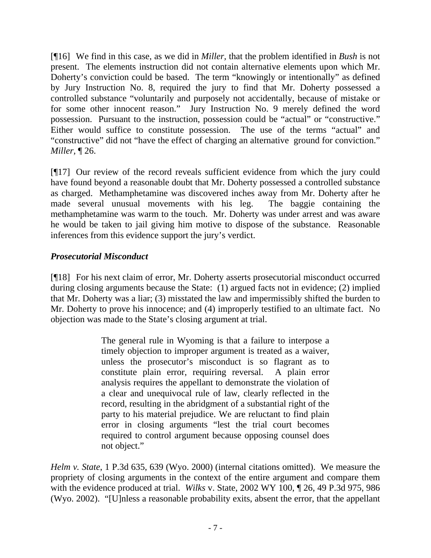[¶16] We find in this case, as we did in *Miller,* that the problem identified in *Bush* is not present. The elements instruction did not contain alternative elements upon which Mr. Doherty's conviction could be based. The term "knowingly or intentionally" as defined by Jury Instruction No. 8, required the jury to find that Mr. Doherty possessed a controlled substance "voluntarily and purposely not accidentally, because of mistake or for some other innocent reason." Jury Instruction No. 9 merely defined the word possession. Pursuant to the instruction, possession could be "actual" or "constructive." Either would suffice to constitute possession. The use of the terms "actual" and "constructive" did not "have the effect of charging an alternative ground for conviction." *Miller,* ¶ 26.

[¶17] Our review of the record reveals sufficient evidence from which the jury could have found beyond a reasonable doubt that Mr. Doherty possessed a controlled substance as charged. Methamphetamine was discovered inches away from Mr. Doherty after he made several unusual movements with his leg. The baggie containing the methamphetamine was warm to the touch. Mr. Doherty was under arrest and was aware he would be taken to jail giving him motive to dispose of the substance. Reasonable inferences from this evidence support the jury's verdict.

# *Prosecutorial Misconduct*

[¶18] For his next claim of error, Mr. Doherty asserts prosecutorial misconduct occurred during closing arguments because the State: (1) argued facts not in evidence; (2) implied that Mr. Doherty was a liar; (3) misstated the law and impermissibly shifted the burden to Mr. Doherty to prove his innocence; and (4) improperly testified to an ultimate fact. No objection was made to the State's closing argument at trial.

> The general rule in Wyoming is that a failure to interpose a timely objection to improper argument is treated as a waiver, unless the prosecutor's misconduct is so flagrant as to constitute plain error, requiring reversal. A plain error analysis requires the appellant to demonstrate the violation of a clear and unequivocal rule of law, clearly reflected in the record, resulting in the abridgment of a substantial right of the party to his material prejudice. We are reluctant to find plain error in closing arguments "lest the trial court becomes required to control argument because opposing counsel does not object."

*Helm v. State*[, 1 P.3d 635, 639 \(Wyo. 2000\)](http://www.lexis.com/research/xlink?app=00075&view=full&searchtype=get&search=1+P.3d+639) (internal citations omitted). We measure the propriety of closing arguments in the context of the entire argument and compare them with the evidence produced at trial. *Wilks* v. State, 2002 WY 100, ¶ 26, 49 P.3d 975, 986 (Wyo. 2002). "[U]nless a reasonable probability exits, absent the error, that the appellant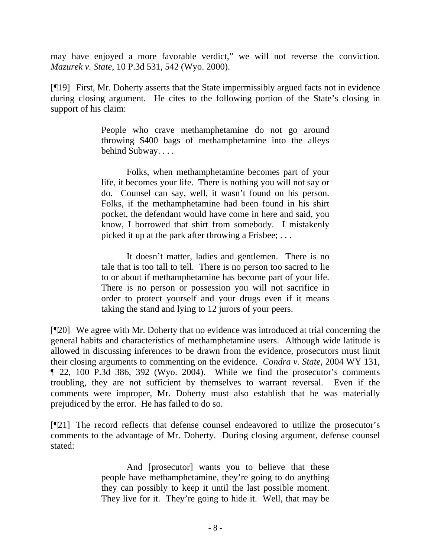may have enjoyed a more favorable verdict," we will not reverse the conviction. *Mazurek v. State*, 10 P.3d 531, 542 (Wyo. 2000).

[¶19] First, Mr. Doherty asserts that the State impermissibly argued facts not in evidence during closing argument. He cites to the following portion of the State's closing in support of his claim:

> People who crave methamphetamine do not go around throwing \$400 bags of methamphetamine into the alleys behind Subway. . . .

> Folks, when methamphetamine becomes part of your life, it becomes your life. There is nothing you will not say or do. Counsel can say, well, it wasn't found on his person. Folks, if the methamphetamine had been found in his shirt pocket, the defendant would have come in here and said, you know, I borrowed that shirt from somebody. I mistakenly picked it up at the park after throwing a Frisbee; . . .

> It doesn't matter, ladies and gentlemen. There is no tale that is too tall to tell. There is no person too sacred to lie to or about if methamphetamine has become part of your life. There is no person or possession you will not sacrifice in order to protect yourself and your drugs even if it means taking the stand and lying to 12 jurors of your peers.

[¶20] We agree with Mr. Doherty that no evidence was introduced at trial concerning the general habits and characteristics of methamphetamine users. Although wide latitude is allowed in discussing inferences to be drawn from the evidence, prosecutors must limit their closing arguments to commenting on the evidence. *Condra v. State*[, 2004 WY 131,](http://www.lexis.com/research/xlink?app=00075&view=full&searchtype=get&search=2004+WY+131)  [¶ 22, 100 P.3d 386, 392 \(Wyo. 2004\).](http://www.lexis.com/research/xlink?app=00075&view=full&searchtype=get&search=2004+WY+131) While we find the prosecutor's comments troubling, they are not sufficient by themselves to warrant reversal. Even if the comments were improper, Mr. Doherty must also establish that he was materially prejudiced by the error. He has failed to do so.

[¶21] The record reflects that defense counsel endeavored to utilize the prosecutor's comments to the advantage of Mr. Doherty. During closing argument, defense counsel stated:

> And [prosecutor] wants you to believe that these people have methamphetamine, they're going to do anything they can possibly to keep it until the last possible moment. They live for it. They're going to hide it. Well, that may be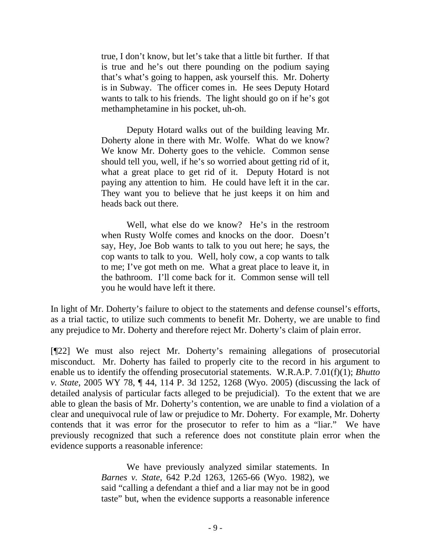true, I don't know, but let's take that a little bit further. If that is true and he's out there pounding on the podium saying that's what's going to happen, ask yourself this. Mr. Doherty is in Subway. The officer comes in. He sees Deputy Hotard wants to talk to his friends. The light should go on if he's got methamphetamine in his pocket, uh-oh.

Deputy Hotard walks out of the building leaving Mr. Doherty alone in there with Mr. Wolfe. What do we know? We know Mr. Doherty goes to the vehicle. Common sense should tell you, well, if he's so worried about getting rid of it, what a great place to get rid of it. Deputy Hotard is not paying any attention to him. He could have left it in the car. They want you to believe that he just keeps it on him and heads back out there.

 Well, what else do we know? He's in the restroom when Rusty Wolfe comes and knocks on the door. Doesn't say, Hey, Joe Bob wants to talk to you out here; he says, the cop wants to talk to you. Well, holy cow, a cop wants to talk to me; I've got meth on me. What a great place to leave it, in the bathroom. I'll come back for it. Common sense will tell you he would have left it there.

In light of Mr. Doherty's failure to object to the statements and defense counsel's efforts, as a trial tactic, to utilize such comments to benefit Mr. Doherty, we are unable to find any prejudice to Mr. Doherty and therefore reject Mr. Doherty's claim of plain error.

[¶22] We must also reject Mr. Doherty's remaining allegations of prosecutorial misconduct. Mr. Doherty has failed to properly cite to the record in his argument to enable us to identify the offending prosecutorial statements. W.R.A.P. 7.01(f)(1); *Bhutto v. State*, 2005 WY 78, ¶ 44, 114 P. 3d 1252, 1268 (Wyo. 2005) (discussing the lack of detailed analysis of particular facts alleged to be prejudicial). To the extent that we are able to glean the basis of Mr. Doherty's contention, we are unable to find a violation of a clear and unequivocal rule of law or prejudice to Mr. Doherty. For example, Mr. Doherty contends that it was error for the prosecutor to refer to him as a "liar." We have previously recognized that such a reference does not constitute plain error when the evidence supports a reasonable inference:

> We have previously analyzed similar statements. In *Barnes v. State*[, 642 P.2d 1263, 1265-66 \(Wyo. 1982\),](http://www.lexis.com/research/buttonTFLink?_m=f6ea956233b2dd2621bb8cbfd2f473d1&_xfercite=%3ccite%20cc%3d%22USA%22%3e%3c%21%5bCDATA%5b12%20P.3d%201057%5d%5d%3e%3c%2fcite%3e&_butType=3&_butStat=2&_butNum=24&_butInline=1&_butinfo=%3ccite%20cc%3d%22USA%22%3e%3c%21%5bCDATA%5b642%20P.2d%201263%2cat%201265%5d%5d%3e%3c%2fcite%3e&_fmtstr=FULL&docnum=1&_startdoc=1&wchp=dGLbVlz-zSkAB&_md5=7e7bcab7265076e653d1c6384eaecf6f) we said "calling a defendant a thief and a liar may not be in good taste" but, when the evidence supports a reasonable inference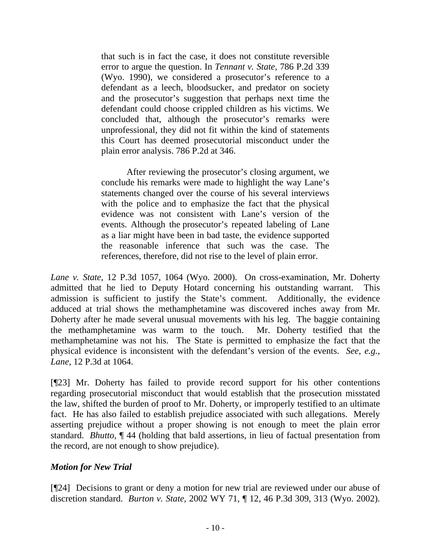that such is in fact the case, it does not constitute reversible error to argue the question. In *[Tennant v. State](http://www.lexis.com/research/buttonTFLink?_m=f6ea956233b2dd2621bb8cbfd2f473d1&_xfercite=%3ccite%20cc%3d%22USA%22%3e%3c%21%5bCDATA%5b12%20P.3d%201057%5d%5d%3e%3c%2fcite%3e&_butType=3&_butStat=2&_butNum=25&_butInline=1&_butinfo=%3ccite%20cc%3d%22USA%22%3e%3c%21%5bCDATA%5b786%20P.2d%20339%5d%5d%3e%3c%2fcite%3e&_fmtstr=FULL&docnum=1&_startdoc=1&wchp=dGLbVlz-zSkAB&_md5=1a11da1ee2167acacf31c67f385e7ab5)*, 786 P.2d 339 [\(Wyo. 1990\),](http://www.lexis.com/research/buttonTFLink?_m=f6ea956233b2dd2621bb8cbfd2f473d1&_xfercite=%3ccite%20cc%3d%22USA%22%3e%3c%21%5bCDATA%5b12%20P.3d%201057%5d%5d%3e%3c%2fcite%3e&_butType=3&_butStat=2&_butNum=25&_butInline=1&_butinfo=%3ccite%20cc%3d%22USA%22%3e%3c%21%5bCDATA%5b786%20P.2d%20339%5d%5d%3e%3c%2fcite%3e&_fmtstr=FULL&docnum=1&_startdoc=1&wchp=dGLbVlz-zSkAB&_md5=1a11da1ee2167acacf31c67f385e7ab5) we considered a prosecutor's reference to a defendant as a leech, bloodsucker, and predator on society and the prosecutor's suggestion that perhaps next time the defendant could choose crippled children as his victims. We concluded that, although the prosecutor's remarks were unprofessional, they did not fit within the kind of statements this Court has deemed prosecutorial misconduct under the plain error analysis. [786 P.2d at 346.](http://www.lexis.com/research/buttonTFLink?_m=f6ea956233b2dd2621bb8cbfd2f473d1&_xfercite=%3ccite%20cc%3d%22USA%22%3e%3c%21%5bCDATA%5b12%20P.3d%201057%5d%5d%3e%3c%2fcite%3e&_butType=3&_butStat=2&_butNum=26&_butInline=1&_butinfo=%3ccite%20cc%3d%22USA%22%3e%3c%21%5bCDATA%5b786%20P.2d%20339%2cat%20346%5d%5d%3e%3c%2fcite%3e&_fmtstr=FULL&docnum=1&_startdoc=1&wchp=dGLbVlz-zSkAB&_md5=9e27e65eee2dc53b2ea494013fec5642)

After reviewing the prosecutor's closing argument, we conclude his remarks were made to highlight the way Lane's statements changed over the course of his several interviews with the police and to emphasize the fact that the physical evidence was not consistent with Lane's version of the events. Although the prosecutor's repeated labeling of Lane as a liar might have been in bad taste, the evidence supported the reasonable inference that such was the case. The references, therefore, did not rise to the level of plain error.

*Lane v. State,* 12 P.3d 1057, 1064 (Wyo. 2000). On cross-examination, Mr. Doherty admitted that he lied to Deputy Hotard concerning his outstanding warrant. This admission is sufficient to justify the State's comment. Additionally, the evidence adduced at trial shows the methamphetamine was discovered inches away from Mr. Doherty after he made several unusual movements with his leg. The baggie containing the methamphetamine was warm to the touch. Mr. Doherty testified that the methamphetamine was not his. The State is permitted to emphasize the fact that the physical evidence is inconsistent with the defendant's version of the events. *See, e.g., Lane*, 12 P.3d at 1064.

[¶23] Mr. Doherty has failed to provide record support for his other contentions regarding prosecutorial misconduct that would establish that the prosecution misstated the law, shifted the burden of proof to Mr. Doherty, or improperly testified to an ultimate fact. He has also failed to establish prejudice associated with such allegations. Merely asserting prejudice without a proper showing is not enough to meet the plain error standard. *Bhutto*, ¶ 44 (holding that bald assertions, in lieu of factual presentation from the record, are not enough to show prejudice).

## *Motion for New Trial*

[¶24] Decisions to grant or deny a motion for new trial are reviewed under our abuse of discretion standard. *Burton v. State*, 2002 WY 71, ¶ 12, 46 P.3d 309, 313 (Wyo. 2002).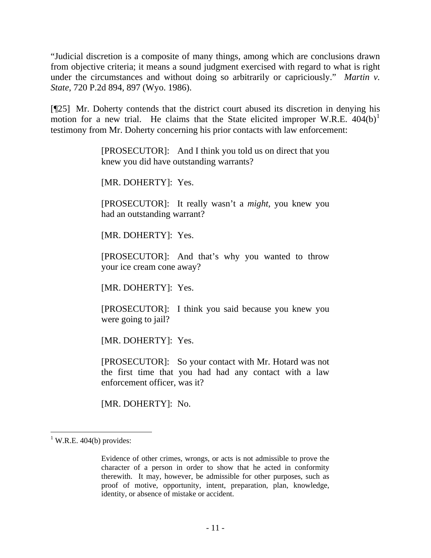"Judicial discretion is a composite of many things, among which are conclusions drawn from objective criteria; it means a sound judgment exercised with regard to what is right under the circumstances and without doing so arbitrarily or capriciously." *Martin v. State*, 720 P.2d 894, 897 (Wyo. 1986).

[¶25] Mr. Doherty contends that the district court abused its discretion in denying his motion for a new trial. He claims that the State elicited improper W.R.E.  $404(b)^1$  $404(b)^1$ testimony from Mr. Doherty concerning his prior contacts with law enforcement:

> [PROSECUTOR]: And I think you told us on direct that you knew you did have outstanding warrants?

[MR. DOHERTY]: Yes.

[PROSECUTOR]: It really wasn't a *might*, you knew you had an outstanding warrant?

[MR. DOHERTY]: Yes.

[PROSECUTOR]: And that's why you wanted to throw your ice cream cone away?

[MR. DOHERTY]: Yes.

[PROSECUTOR]: I think you said because you knew you were going to jail?

[MR. DOHERTY]: Yes.

[PROSECUTOR]: So your contact with Mr. Hotard was not the first time that you had had any contact with a law enforcement officer, was it?

[MR. DOHERTY]: No.

 $\overline{a}$ 

<span id="page-11-0"></span> $1$  W.R.E. 404(b) provides:

Evidence of other crimes, wrongs, or acts is not admissible to prove the character of a person in order to show that he acted in conformity therewith. It may, however, be admissible for other purposes, such as proof of motive, opportunity, intent, preparation, plan, knowledge, identity, or absence of mistake or accident.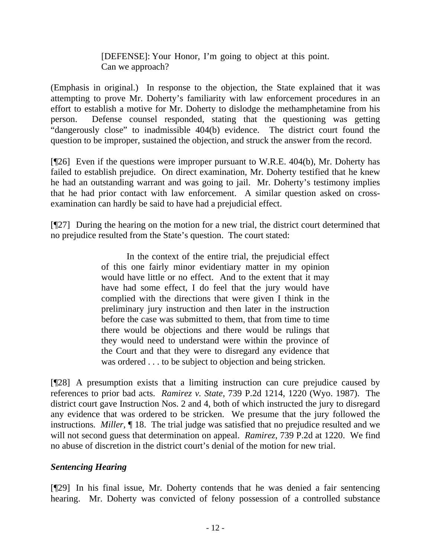## [DEFENSE]: Your Honor, I'm going to object at this point. Can we approach?

(Emphasis in original.) In response to the objection, the State explained that it was attempting to prove Mr. Doherty's familiarity with law enforcement procedures in an effort to establish a motive for Mr. Doherty to dislodge the methamphetamine from his person. Defense counsel responded, stating that the questioning was getting "dangerously close" to inadmissible 404(b) evidence. The district court found the question to be improper, sustained the objection, and struck the answer from the record.

[¶26] Even if the questions were improper pursuant to W.R.E. 404(b), Mr. Doherty has failed to establish prejudice. On direct examination, Mr. Doherty testified that he knew he had an outstanding warrant and was going to jail. Mr. Doherty's testimony implies that he had prior contact with law enforcement. A similar question asked on crossexamination can hardly be said to have had a prejudicial effect.

[¶27] During the hearing on the motion for a new trial, the district court determined that no prejudice resulted from the State's question. The court stated:

> In the context of the entire trial, the prejudicial effect of this one fairly minor evidentiary matter in my opinion would have little or no effect. And to the extent that it may have had some effect, I do feel that the jury would have complied with the directions that were given I think in the preliminary jury instruction and then later in the instruction before the case was submitted to them, that from time to time there would be objections and there would be rulings that they would need to understand were within the province of the Court and that they were to disregard any evidence that was ordered . . . to be subject to objection and being stricken.

[¶28] A presumption exists that a limiting instruction can cure prejudice caused by references to prior bad acts. *Ramirez v. State*, 739 P.2d 1214, 1220 (Wyo. 1987). The district court gave Instruction Nos. 2 and 4, both of which instructed the jury to disregard any evidence that was ordered to be stricken. We presume that the jury followed the instructions. *Miller*, ¶ 18. The trial judge was satisfied that no prejudice resulted and we will not second guess that determination on appeal. *Ramirez*, 739 P.2d at 1220. We find no abuse of discretion in the district court's denial of the motion for new trial.

# *Sentencing Hearing*

[¶29] In his final issue, Mr. Doherty contends that he was denied a fair sentencing hearing. Mr. Doherty was convicted of felony possession of a controlled substance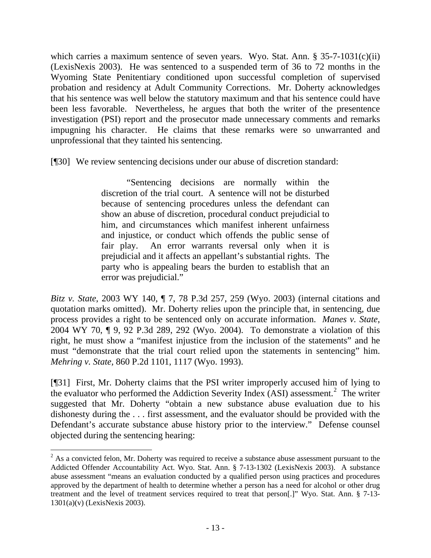which carries a maximum sentence of seven years. Wyo. Stat. Ann. § 35-7-1031(c)(ii) (LexisNexis 2003). He was sentenced to a suspended term of 36 to 72 months in the Wyoming State Penitentiary conditioned upon successful completion of supervised probation and residency at Adult Community Corrections. Mr. Doherty acknowledges that his sentence was well below the statutory maximum and that his sentence could have been less favorable. Nevertheless, he argues that both the writer of the presentence investigation (PSI) report and the prosecutor made unnecessary comments and remarks impugning his character. He claims that these remarks were so unwarranted and unprofessional that they tainted his sentencing.

[¶30] We review sentencing decisions under our abuse of discretion standard:

"Sentencing decisions are normally within the discretion of the trial court. A sentence will not be disturbed because of sentencing procedures unless the defendant can show an abuse of discretion, procedural conduct prejudicial to him, and circumstances which manifest inherent unfairness and injustice, or conduct which offends the public sense of fair play. An error warrants reversal only when it is prejudicial and it affects an appellant's substantial rights. The party who is appealing bears the burden to establish that an error was prejudicial."

*Bitz v. State*, 2003 WY 140, ¶ 7, 78 P.3d 257, 259 (Wyo. 2003) (internal citations and quotation marks omitted). Mr. Doherty relies upon the principle that, in sentencing, due process provides a right to be sentenced only on accurate information. *Manes v. State*, 2004 WY 70, ¶ 9, 92 P.3d 289, 292 (Wyo. 2004). To demonstrate a violation of this right, he must show a "manifest injustice from the inclusion of the statements" and he must "demonstrate that the trial court relied upon the statements in sentencing" him. *Mehring v. State,* 860 P.2d 1101, 1117 (Wyo. 1993).

[¶31] First, Mr. Doherty claims that the PSI writer improperly accused him of lying to the evaluator who performed the Addiction Severity Index (ASI) assessment.<sup>[2](#page-13-0)</sup> The writer suggested that Mr. Doherty "obtain a new substance abuse evaluation due to his dishonesty during the . . . first assessment, and the evaluator should be provided with the Defendant's accurate substance abuse history prior to the interview." Defense counsel objected during the sentencing hearing:

<span id="page-13-0"></span> $\overline{a}$  $2^{2}$  As a convicted felon, Mr. Doherty was required to receive a substance abuse assessment pursuant to the Addicted Offender Accountability Act. Wyo. Stat. Ann. § 7-13-1302 (LexisNexis 2003). A substance abuse assessment "means an evaluation conducted by a qualified person using practices and procedures approved by the department of health to determine whether a person has a need for alcohol or other drug treatment and the level of treatment services required to treat that person[.]" Wyo. Stat. Ann. § 7-13- 1301(a)(v) (LexisNexis 2003).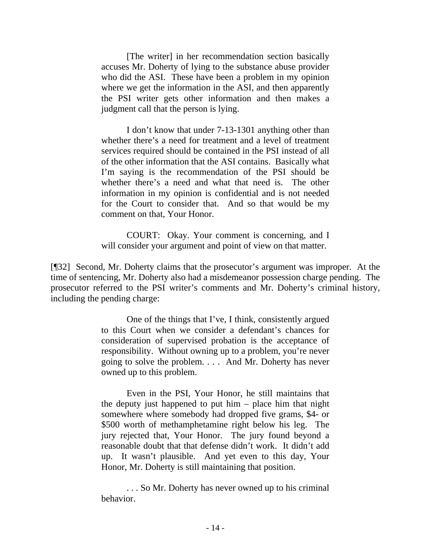[The writer] in her recommendation section basically accuses Mr. Doherty of lying to the substance abuse provider who did the ASI. These have been a problem in my opinion where we get the information in the ASI, and then apparently the PSI writer gets other information and then makes a judgment call that the person is lying.

I don't know that under 7-13-1301 anything other than whether there's a need for treatment and a level of treatment services required should be contained in the PSI instead of all of the other information that the ASI contains. Basically what I'm saying is the recommendation of the PSI should be whether there's a need and what that need is. The other information in my opinion is confidential and is not needed for the Court to consider that. And so that would be my comment on that, Your Honor.

COURT: Okay. Your comment is concerning, and I will consider your argument and point of view on that matter.

[¶32] Second, Mr. Doherty claims that the prosecutor's argument was improper. At the time of sentencing, Mr. Doherty also had a misdemeanor possession charge pending. The prosecutor referred to the PSI writer's comments and Mr. Doherty's criminal history, including the pending charge:

> One of the things that I've, I think, consistently argued to this Court when we consider a defendant's chances for consideration of supervised probation is the acceptance of responsibility. Without owning up to a problem, you're never going to solve the problem. . . . And Mr. Doherty has never owned up to this problem.

> Even in the PSI, Your Honor, he still maintains that the deputy just happened to put him – place him that night somewhere where somebody had dropped five grams, \$4- or \$500 worth of methamphetamine right below his leg. The jury rejected that, Your Honor. The jury found beyond a reasonable doubt that that defense didn't work. It didn't add up. It wasn't plausible. And yet even to this day, Your Honor, Mr. Doherty is still maintaining that position.

> . . . So Mr. Doherty has never owned up to his criminal behavior.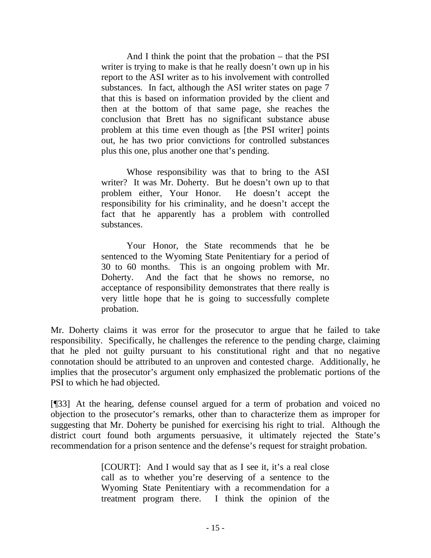And I think the point that the probation – that the PSI writer is trying to make is that he really doesn't own up in his report to the ASI writer as to his involvement with controlled substances. In fact, although the ASI writer states on page 7 that this is based on information provided by the client and then at the bottom of that same page, she reaches the conclusion that Brett has no significant substance abuse problem at this time even though as [the PSI writer] points out, he has two prior convictions for controlled substances plus this one, plus another one that's pending.

Whose responsibility was that to bring to the ASI writer? It was Mr. Doherty. But he doesn't own up to that problem either, Your Honor. He doesn't accept the responsibility for his criminality, and he doesn't accept the fact that he apparently has a problem with controlled substances.

Your Honor, the State recommends that he be sentenced to the Wyoming State Penitentiary for a period of 30 to 60 months. This is an ongoing problem with Mr. Doherty. And the fact that he shows no remorse, no acceptance of responsibility demonstrates that there really is very little hope that he is going to successfully complete probation.

Mr. Doherty claims it was error for the prosecutor to argue that he failed to take responsibility. Specifically, he challenges the reference to the pending charge, claiming that he pled not guilty pursuant to his constitutional right and that no negative connotation should be attributed to an unproven and contested charge. Additionally, he implies that the prosecutor's argument only emphasized the problematic portions of the PSI to which he had objected.

[¶33] At the hearing, defense counsel argued for a term of probation and voiced no objection to the prosecutor's remarks, other than to characterize them as improper for suggesting that Mr. Doherty be punished for exercising his right to trial. Although the district court found both arguments persuasive, it ultimately rejected the State's recommendation for a prison sentence and the defense's request for straight probation.

> [COURT]: And I would say that as I see it, it's a real close call as to whether you're deserving of a sentence to the Wyoming State Penitentiary with a recommendation for a treatment program there. I think the opinion of the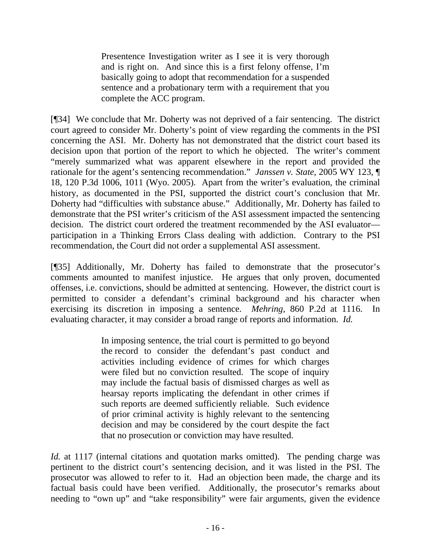Presentence Investigation writer as I see it is very thorough and is right on. And since this is a first felony offense, I'm basically going to adopt that recommendation for a suspended sentence and a probationary term with a requirement that you complete the ACC program.

[¶34] We conclude that Mr. Doherty was not deprived of a fair sentencing. The district court agreed to consider Mr. Doherty's point of view regarding the comments in the PSI concerning the ASI. Mr. Doherty has not demonstrated that the district court based its decision upon that portion of the report to which he objected. The writer's comment "merely summarized what was apparent elsewhere in the report and provided the rationale for the agent's sentencing recommendation." *Janssen v. State*, 2005 WY 123, ¶ 18, 120 P.3d 1006, 1011 (Wyo. 2005). Apart from the writer's evaluation, the criminal history, as documented in the PSI, supported the district court's conclusion that Mr. Doherty had "difficulties with substance abuse." Additionally, Mr. Doherty has failed to demonstrate that the PSI writer's criticism of the ASI assessment impacted the sentencing decision. The district court ordered the treatment recommended by the ASI evaluator participation in a Thinking Errors Class dealing with addiction. Contrary to the PSI recommendation, the Court did not order a supplemental ASI assessment.

[¶35] Additionally, Mr. Doherty has failed to demonstrate that the prosecutor's comments amounted to manifest injustice. He argues that only proven, documented offenses, i.e. convictions, should be admitted at sentencing. However, the district court is permitted to consider a defendant's criminal background and his character when exercising its discretion in imposing a sentence. *Mehring,* 860 P.2d at 1116. In evaluating character, it may consider a broad range of reports and information. *Id.* 

> In imposing sentence, the trial court is permitted to go beyond the record to consider the defendant's past conduct and activities including evidence of crimes for which charges were filed but no conviction resulted. The scope of inquiry may include the factual basis of dismissed charges as well as hearsay reports implicating the defendant in other crimes if such reports are deemed sufficiently reliable. Such evidence of prior criminal activity is highly relevant to the sentencing decision and may be considered by the court despite the fact that no prosecution or conviction may have resulted.

*Id.* at 1117 (internal citations and quotation marks omitted). The pending charge was pertinent to the district court's sentencing decision, and it was listed in the PSI. The prosecutor was allowed to refer to it. Had an objection been made, the charge and its factual basis could have been verified. Additionally, the prosecutor's remarks about needing to "own up" and "take responsibility" were fair arguments, given the evidence